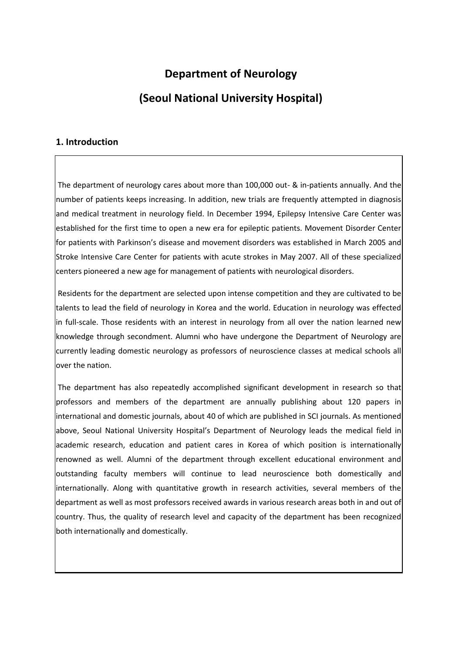# **Department of Neurology (Seoul National University Hospital)**

#### **1. Introduction**

The department of neurology cares about more than 100,000 out- & in-patients annually. And the number of patients keeps increasing. In addition, new trials are frequently attempted in diagnosis and medical treatment in neurology field. In December 1994, Epilepsy Intensive Care Center was established for the first time to open a new era for epileptic patients. Movement Disorder Center for patients with Parkinson's disease and movement disorders was established in March 2005 and Stroke Intensive Care Center for patients with acute strokes in May 2007. All of these specialized centers pioneered a new age for management of patients with neurological disorders.

Residents for the department are selected upon intense competition and they are cultivated to be talents to lead the field of neurology in Korea and the world. Education in neurology was effected in full-scale. Those residents with an interest in neurology from all over the nation learned new knowledge through secondment. Alumni who have undergone the Department of Neurology are currently leading domestic neurology as professors of neuroscience classes at medical schools all over the nation.

The department has also repeatedly accomplished significant development in research so that professors and members of the department are annually publishing about 120 papers in international and domestic journals, about 40 of which are published in SCI journals. As mentioned above, Seoul National University Hospital's Department of Neurology leads the medical field in academic research, education and patient cares in Korea of which position is internationally renowned as well. Alumni of the department through excellent educational environment and outstanding faculty members will continue to lead neuroscience both domestically and internationally. Along with quantitative growth in research activities, several members of the department as well as most professors received awards in various research areas both in and out of country. Thus, the quality of research level and capacity of the department has been recognized both internationally and domestically.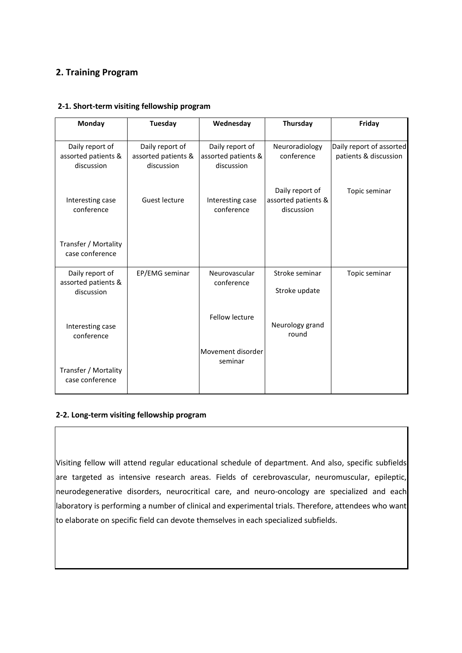### **2. Training Program**

| <b>Monday</b>                                        | <b>Tuesday</b>                                       | Wednesday                                            | Thursday                                             | Friday                                            |
|------------------------------------------------------|------------------------------------------------------|------------------------------------------------------|------------------------------------------------------|---------------------------------------------------|
| Daily report of<br>assorted patients &<br>discussion | Daily report of<br>assorted patients &<br>discussion | Daily report of<br>assorted patients &<br>discussion | Neuroradiology<br>conference                         | Daily report of assorted<br>patients & discussion |
| Interesting case<br>conference                       | Guest lecture                                        | Interesting case<br>conference                       | Daily report of<br>assorted patients &<br>discussion | Topic seminar                                     |
| Transfer / Mortality<br>case conference              |                                                      |                                                      |                                                      |                                                   |
| Daily report of<br>assorted patients &<br>discussion | EP/EMG seminar                                       | Neurovascular<br>conference                          | Stroke seminar<br>Stroke update                      | Topic seminar                                     |
| Interesting case<br>conference                       |                                                      | <b>Fellow lecture</b>                                | Neurology grand<br>round                             |                                                   |
| Transfer / Mortality<br>case conference              |                                                      | Movement disorder<br>seminar                         |                                                      |                                                   |

#### **2-1. Short-term visiting fellowship program**

#### **2-2. Long-term visiting fellowship program**

Visiting fellow will attend regular educational schedule of department. And also, specific subfields are targeted as intensive research areas. Fields of cerebrovascular, neuromuscular, epileptic, neurodegenerative disorders, neurocritical care, and neuro-oncology are specialized and each laboratory is performing a number of clinical and experimental trials. Therefore, attendees who want to elaborate on specific field can devote themselves in each specialized subfields.